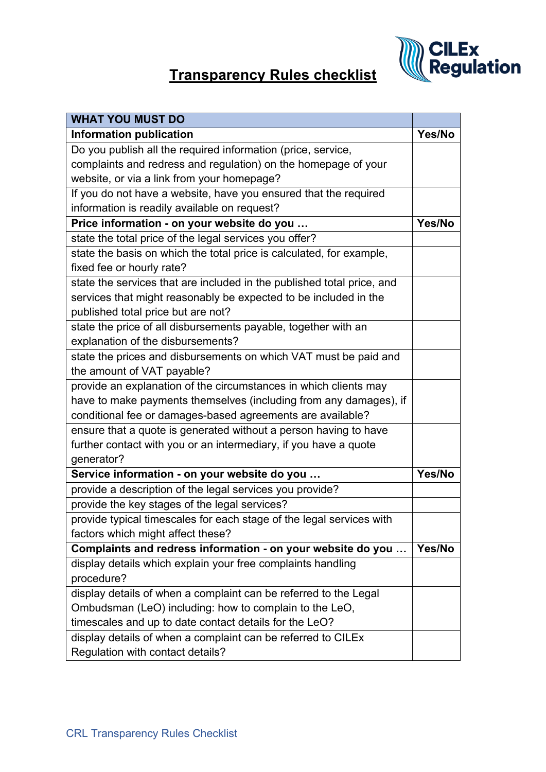

## **Transparency Rules checklist**

| <b>WHAT YOU MUST DO</b>                                                |        |
|------------------------------------------------------------------------|--------|
| <b>Information publication</b>                                         | Yes/No |
| Do you publish all the required information (price, service,           |        |
| complaints and redress and regulation) on the homepage of your         |        |
| website, or via a link from your homepage?                             |        |
| If you do not have a website, have you ensured that the required       |        |
| information is readily available on request?                           |        |
| Price information - on your website do you                             | Yes/No |
| state the total price of the legal services you offer?                 |        |
| state the basis on which the total price is calculated, for example,   |        |
| fixed fee or hourly rate?                                              |        |
| state the services that are included in the published total price, and |        |
| services that might reasonably be expected to be included in the       |        |
| published total price but are not?                                     |        |
| state the price of all disbursements payable, together with an         |        |
| explanation of the disbursements?                                      |        |
| state the prices and disbursements on which VAT must be paid and       |        |
| the amount of VAT payable?                                             |        |
| provide an explanation of the circumstances in which clients may       |        |
| have to make payments themselves (including from any damages), if      |        |
| conditional fee or damages-based agreements are available?             |        |
| ensure that a quote is generated without a person having to have       |        |
| further contact with you or an intermediary, if you have a quote       |        |
| generator?                                                             |        |
| Service information - on your website do you                           | Yes/No |
| provide a description of the legal services you provide?               |        |
| provide the key stages of the legal services?                          |        |
| provide typical timescales for each stage of the legal services with   |        |
| factors which might affect these?                                      |        |
| Complaints and redress information - on your website do you            | Yes/No |
| display details which explain your free complaints handling            |        |
| procedure?                                                             |        |
| display details of when a complaint can be referred to the Legal       |        |
| Ombudsman (LeO) including: how to complain to the LeO,                 |        |
| timescales and up to date contact details for the LeO?                 |        |
| display details of when a complaint can be referred to CILEx           |        |
| Regulation with contact details?                                       |        |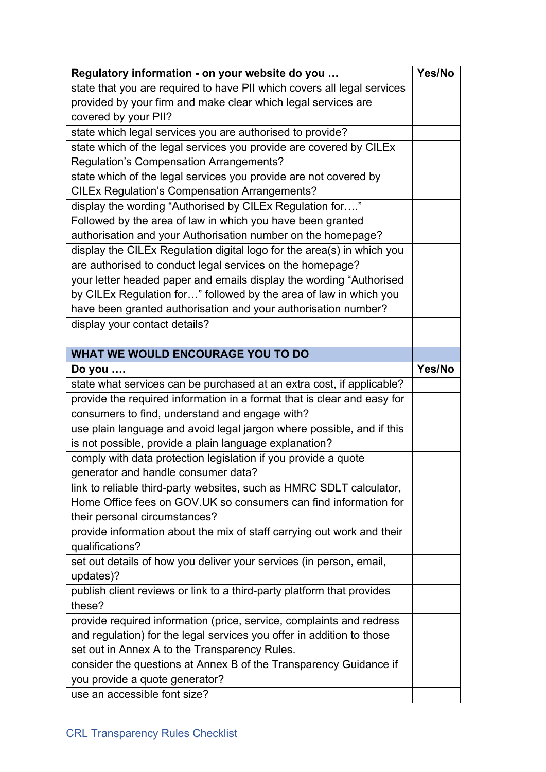| Regulatory information - on your website do you                         | Yes/No |
|-------------------------------------------------------------------------|--------|
| state that you are required to have PII which covers all legal services |        |
| provided by your firm and make clear which legal services are           |        |
| covered by your PII?                                                    |        |
| state which legal services you are authorised to provide?               |        |
| state which of the legal services you provide are covered by CILEx      |        |
| <b>Regulation's Compensation Arrangements?</b>                          |        |
| state which of the legal services you provide are not covered by        |        |
| <b>CILEx Regulation's Compensation Arrangements?</b>                    |        |
| display the wording "Authorised by CILEx Regulation for"                |        |
| Followed by the area of law in which you have been granted              |        |
| authorisation and your Authorisation number on the homepage?            |        |
| display the CILEx Regulation digital logo for the area(s) in which you  |        |
| are authorised to conduct legal services on the homepage?               |        |
| your letter headed paper and emails display the wording "Authorised     |        |
| by CILEx Regulation for" followed by the area of law in which you       |        |
| have been granted authorisation and your authorisation number?          |        |
| display your contact details?                                           |        |
|                                                                         |        |
| WHAT WE WOULD ENCOURAGE YOU TO DO                                       |        |
| Do you $\dots$                                                          | Yes/No |
| state what services can be purchased at an extra cost, if applicable?   |        |
| provide the required information in a format that is clear and easy for |        |
| consumers to find, understand and engage with?                          |        |
| use plain language and avoid legal jargon where possible, and if this   |        |
| is not possible, provide a plain language explanation?                  |        |
| comply with data protection legislation if you provide a quote          |        |
| generator and handle consumer data?                                     |        |
| link to reliable third-party websites, such as HMRC SDLT calculator,    |        |
| Home Office fees on GOV.UK so consumers can find information for        |        |
| their personal circumstances?                                           |        |
| provide information about the mix of staff carrying out work and their  |        |
| qualifications?                                                         |        |
| set out details of how you deliver your services (in person, email,     |        |
| updates)?                                                               |        |
| publish client reviews or link to a third-party platform that provides  |        |
| these?                                                                  |        |
| provide required information (price, service, complaints and redress    |        |
| and regulation) for the legal services you offer in addition to those   |        |
| set out in Annex A to the Transparency Rules.                           |        |
| consider the questions at Annex B of the Transparency Guidance if       |        |
| you provide a quote generator?                                          |        |
| use an accessible font size?                                            |        |